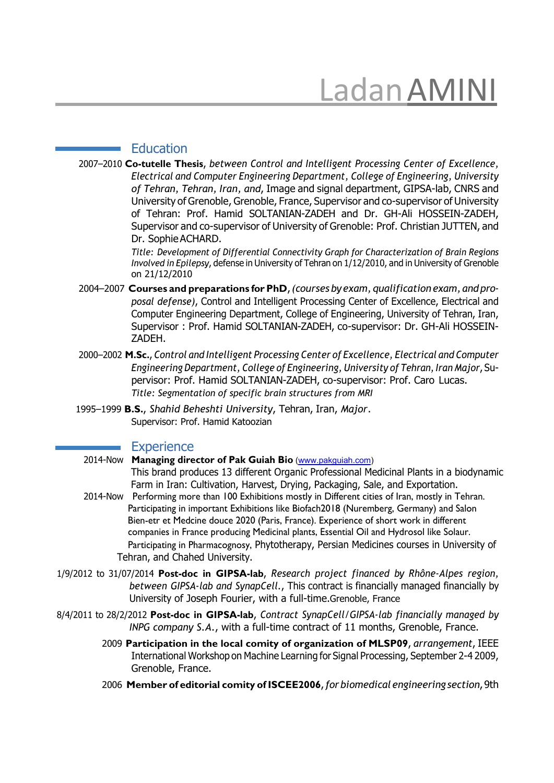# LadanAMINI

#### **Education**

2007–2010 **Co-tutelle Thesis**, *between Control and Intelligent Processing Center of Excellence, Electrical and Computer Engineering Department, College of Engineering, University of Tehran, Tehran, Iran, and*, Image and signal department, GIPSA-lab, CNRS and University of Grenoble, Grenoble, France, Supervisor and co-supervisor of University of Tehran: Prof. Hamid SOLTANIAN-ZADEH and Dr. GH-Ali HOSSEIN-ZADEH, Supervisor and co-supervisor of University of Grenoble: Prof. Christian JUTTEN, and Dr. SophieACHARD.

> *Title: Development of Differential Connectivity Graph for Characterization of Brain Regions Involved in Epilepsy*, defense in University of Tehran on 1/12/2010, and in University of Grenoble on 21/12/2010

- 2004–2007 **Courses and preparations for PhD**,*(courses by exam, qualification exam, and proposal defense)*, Control and Intelligent Processing Center of Excellence, Electrical and Computer Engineering Department, College of Engineering, University of Tehran, Iran, Supervisor : Prof. Hamid SOLTANIAN-ZADEH, co-supervisor: Dr. GH-Ali HOSSEIN-ZADEH.
- 2000–2002 **M.Sc.**, *Control and Intelligent Processing Center of Excellence, Electrical and Computer Engineering Department, College of Engineering, University of Tehran,Iran Major*, Supervisor: Prof. Hamid SOLTANIAN-ZADEH, co-supervisor: Prof. Caro Lucas. *Title: Segmentation of specific brain structures from MRI*
- 1995–1999 **B.S.**, *Shahid Beheshti University*, Tehran, Iran, *Major*. Supervisor: Prof. Hamid Katoozian

#### **Experience**

2014-Now **Managing director of Pak Guiah Bio** [\(www.pakguiah.com\)](http://www.pakguiah.com/)

This brand produces 13 different Organic Professional Medicinal Plants in a biodynamic Farm in Iran: Cultivation, Harvest, Drying, Packaging, Sale, and Exportation.

- 2014-Now Performing more than 100 Exhibitions mostly in Different cities of Iran, mostly in Tehran. Participating in important Exhibitions like Biofach2018 (Nuremberg, Germany) and Salon Bien-etr et Medcine douce 2020 (Paris, France). Experience of short work in different companies in France producing Medicinal plants, Essential Oil and Hydrosol like Solaur. Participating in Pharmacognosy, Phytotherapy, Persian Medicines courses in University of Tehran, and Chahed University.
- 1/9/2012 to 31/07/2014 **Post-doc in GIPSA-lab**, *Research project financed by Rhône-Alpes region, between GIPSA-lab and SynapCell.*, This contract is financially managed financially by University of Joseph Fourier, with a full-time.Grenoble, France
- 8/4/2011 to 28/2/2012 **Post-doc in GIPSA-lab**, *Contract SynapCell/GIPSA-lab financially managed by INPG company S.A.*, with a full-time contract of 11 months, Grenoble, France.
	- 2009 **Participation in the local comity of organization of MLSP09**, *arrangement*, IEEE International Workshop on Machine Learning for Signal Processing, September 2-4 2009, Grenoble, France.
	- 2006 **Member of editorial comity of ISCEE2006**, *forbiomedical engineering section*,9th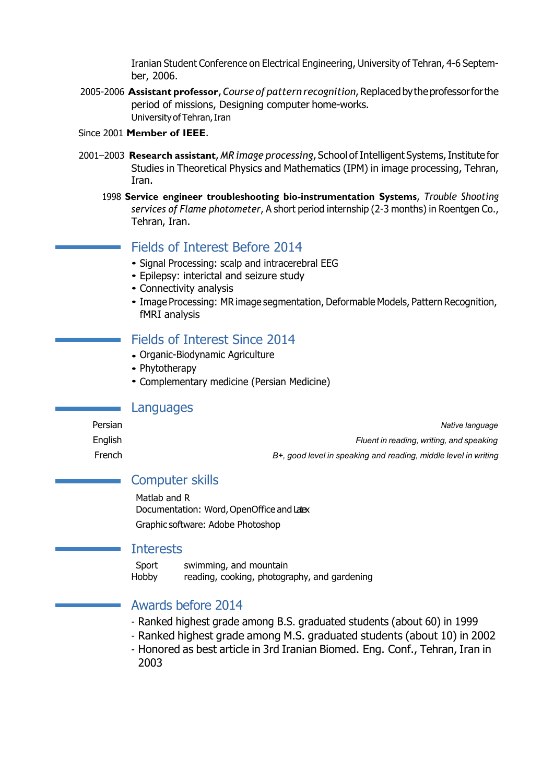Iranian Student Conference on Electrical Engineering, University of Tehran, 4-6 September, 2006.

- 2005-2006 **Assistant professor**,*Course of pattern recognition*,Replacedbytheprofessorforthe period of missions, Designing computer home-works. University of Tehran, Iran
- Since 2001 **Member of IEEE**.
- 2001–2003 **Research assistant**, *MR image processing*, School ofIntelligent Systems,Institute for Studies in Theoretical Physics and Mathematics (IPM) in image processing, Tehran, Iran.
	- 1998 **Service engineer troubleshooting bio-instrumentation Systems**, *Trouble Shooting services of Flame photometer*, A short period internship (2-3 months) in Roentgen Co., Tehran, Iran.

# Fields of Interest Before 2014

- Signal Processing: scalp and intracerebral EEG
- Epilepsy: interictal and seizure study *•*
- Connectivity analysis *•*
- Image Processing: MR image segmentation, Deformable Models, Pattern Recognition, *•* fMRI analysis

# Fields of Interest Since 2014

- Organic-Biodynamic Agriculture *•*
- Phytotherapy *•*
- Complementary medicine (Persian Medicine) *•*

#### Languages

Persian *Native language* English *Fluent in reading, writing, and speaking*

French *B+, good level in speaking and reading, middle level in writing*

# Computer skills

Matlab and R Documentation: Word, OpenOffice and Latex Graphic software: Adobe Photoshop

## **Interests**

Sport swimming, and mountain Hobby reading, cooking, photography, and gardening

# Awards before 2014

- Ranked highest grade among B.S. graduated students (about 60) in 1999
- Ranked highest grade among M.S. graduated students (about 10) in 2002
- Honored as best article in 3rd Iranian Biomed. Eng. Conf., Tehran, Iran in 2003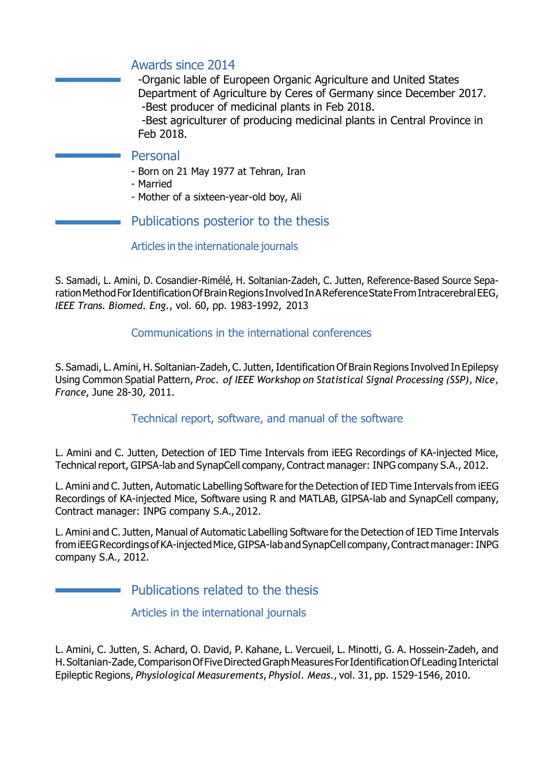# Awards since 2014

-Organic lable of Europeen Organic Agriculture and United States Department of Agriculture by Ceres of Germany since December 2017. -Best producer of medicinal plants in Feb 2018.

-Best agriculturer of producing medicinal plants in Central Province in Feb 2018.

## Personal

- Born on 21 May 1977 at Tehran, Iran
- Married
- Mother of a sixteen-year-old boy, Ali

# Publications posterior to the thesis

#### Articles in the internationale journals

S. Samadi, L. Amini, D. Cosandier-Rimélé, H. Soltanian-Zadeh, C. Jutten, Reference-Based Source Separation Method For Identification Of Brain Regions Involved In A Reference State From Intracerebral EEG, *IEEE Trans. Biomed. Eng.*, vol. 60, pp. 1983-1992, 2013

# Communications in the international conferences

S. Samadi, L. Amini, H. Soltanian-Zadeh, C. Jutten, Identification Of Brain Regions Involved In Epilepsy Using Common Spatial Pattern, *Proc. of IEEE Workshop on Statistical Signal Processing (SSP), Nice, France*, June 28-30, 2011.

## Technical report, software, and manual of the software

L. Amini and C. Jutten, Detection of IED Time Intervals from iEEG Recordings of KA-injected Mice, Technical report, GIPSA-lab and SynapCell company, Contract manager: INPG company S.A., 2012.

L. Amini and C. Jutten, Automatic Labelling Software forthe Detection of IED Time Intervals from iEEG Recordings of KA-injected Mice, Software using R and MATLAB, GIPSA-lab and SynapCell company, Contract manager: INPG company S.A.,2012.

L. Amini and C. Jutten, Manual of Automatic Labelling Software for the Detection of IED Time Intervals from iEEG Recordings of KA-injected Mice, GIPSA-lab and SynapCell company, Contract manager: INPG company S.A., 2012.

Publications related to the thesis

Articles in the international journals

L. Amini, C. Jutten, S. Achard, O. David, P. Kahane, L. Vercueil, L. Minotti, G. A. Hossein-Zadeh, and H.Soltanian-Zade,ComparisonOfFiveDirectedGraphMeasuresForIdentificationOfLeadingInterictal Epileptic Regions, *Physiological Measurements*, *Physiol. Meas.*, vol. 31, pp. 1529-1546, 2010.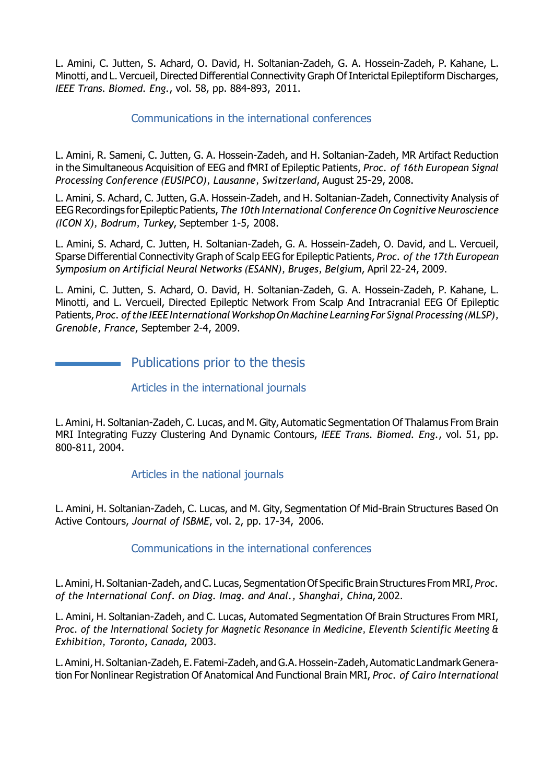L. Amini, C. Jutten, S. Achard, O. David, H. Soltanian-Zadeh, G. A. Hossein-Zadeh, P. Kahane, L. Minotti, and L. Vercueil, Directed Differential Connectivity Graph Of Interictal Epileptiform Discharges, *IEEE Trans. Biomed. Eng.*, vol. 58, pp. 884-893, 2011.

#### Communications in the international conferences

L. Amini, R. Sameni, C. Jutten, G. A. Hossein-Zadeh, and H. Soltanian-Zadeh, MR Artifact Reduction in the Simultaneous Acquisition of EEG and fMRI of Epileptic Patients, *Proc. of 16th European Signal Processing Conference (EUSIPCO), Lausanne, Switzerland*, August 25-29, 2008.

L. Amini, S. Achard, C. Jutten, G.A. Hossein-Zadeh, and H. Soltanian-Zadeh, Connectivity Analysis of EEGRecordings for Epileptic Patients, *The 10th International Conference On Cognitive Neuroscience (ICON X), Bodrum, Turkey*, September 1-5, 2008.

L. Amini, S. Achard, C. Jutten, H. Soltanian-Zadeh, G. A. Hossein-Zadeh, O. David, and L. Vercueil, Sparse Differential Connectivity Graph of Scalp EEG for Epileptic Patients, *Proc. of the 17th European Symposium on Artificial Neural Networks (ESANN), Bruges, Belgium*, April 22-24, 2009.

L. Amini, C. Jutten, S. Achard, O. David, H. Soltanian-Zadeh, G. A. Hossein-Zadeh, P. Kahane, L. Minotti, and L. Vercueil, Directed Epileptic Network From Scalp And Intracranial EEG Of Epileptic Patients,*Proc. of the IEEE InternationalWorkshopOnMachine Learning ForSignal Processing (MLSP), Grenoble, France*, September 2-4, 2009.

# **Example 2** Publications prior to the thesis

#### Articles in the international journals

L. Amini, H. Soltanian-Zadeh, C. Lucas, and M. Gity, Automatic Segmentation Of Thalamus From Brain MRI Integrating Fuzzy Clustering And Dynamic Contours, *IEEE Trans. Biomed. Eng.*, vol. 51, pp. 800-811, 2004.

## Articles in the national journals

L. Amini, H. Soltanian-Zadeh, C. Lucas, and M. Gity, Segmentation Of Mid-Brain Structures Based On Active Contours, *Journal of ISBME*, vol. 2, pp. 17-34, 2006.

## Communications in the international conferences

L. Amini,H. Soltanian-Zadeh, and C. Lucas, Segmentation Of Specific Brain Structures From MRI, *Proc. of the International Conf. on Diag. Imag. and Anal., Shanghai, China*, 2002.

L. Amini, H. Soltanian-Zadeh, and C. Lucas, Automated Segmentation Of Brain Structures From MRI, *Proc. of the International Society for Magnetic Resonance in Medicine, Eleventh Scientific Meeting & Exhibition, Toronto, Canada*, 2003.

L.Amini,H.Soltanian-Zadeh,E. Fatemi-Zadeh, andG.A.Hossein-Zadeh,Automatic LandmarkGeneration For Nonlinear Registration Of Anatomical And Functional Brain MRI, *Proc. of Cairo International*